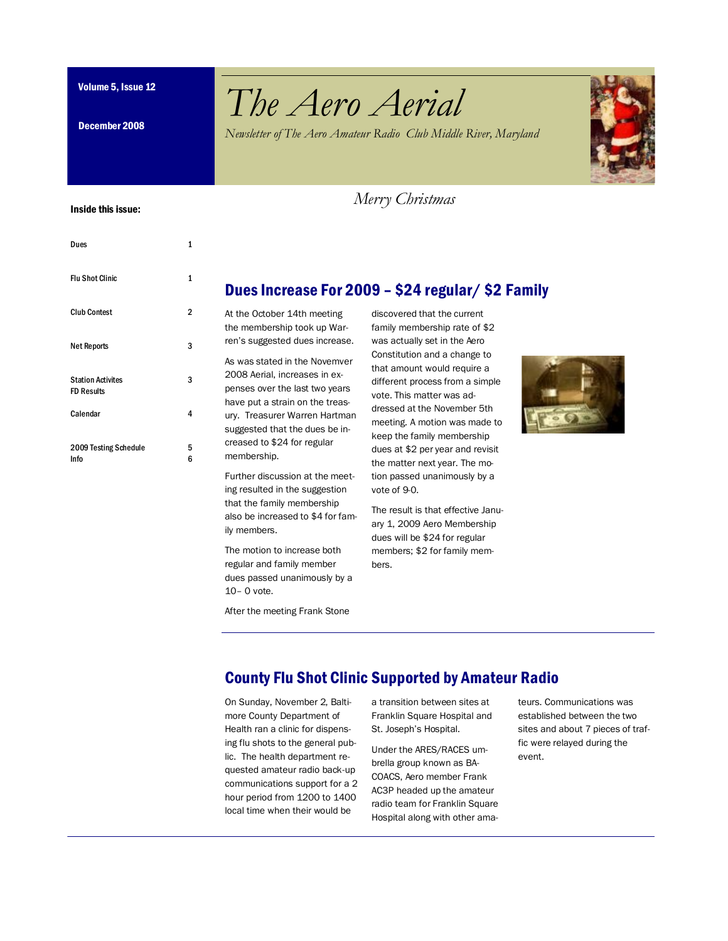December 2008

# Volume 5, Issue 12 *The Aero Aerial*

*Newsletter of The Aero Amateur Radio Club Middle River, Maryland*



#### Inside this issue:

| Dues                                          | 1      |
|-----------------------------------------------|--------|
| <b>Flu Shot Clinic</b>                        | 1      |
| <b>Club Contest</b>                           | 2      |
| <b>Net Reports</b>                            | 3      |
| <b>Station Activites</b><br><b>FD Results</b> | 3      |
| Calendar                                      | 4      |
| 2009 Testing Schedule<br>Info                 | 5<br>6 |

3

5 6

## Dues Increase For 2009 – \$24 regular/ \$2 Family

 *Merry Christmas*

At the October 14th meeting the membership took up Warren's suggested dues increase.

As was stated in the Novemver 2008 Aerial, increases in expenses over the last two years have put a strain on the treasury. Treasurer Warren Hartman suggested that the dues be increased to \$24 for regular membership.

Further discussion at the meeting resulted in the suggestion that the family membership also be increased to \$4 for family members.

The motion to increase both regular and family member dues passed unanimously by a 10– 0 vote.

After the meeting Frank Stone

discovered that the current family membership rate of \$2 was actually set in the Aero Constitution and a change to that amount would require a different process from a simple vote. This matter was addressed at the November 5th meeting. A motion was made to keep the family membership dues at \$2 per year and revisit the matter next year. The motion passed unanimously by a vote of 9-0.

The result is that effective January 1, 2009 Aero Membership dues will be \$24 for regular members; \$2 for family members.



## County Flu Shot Clinic Supported by Amateur Radio

On Sunday, November 2, Baltimore County Department of Health ran a clinic for dispensing flu shots to the general public. The health department requested amateur radio back-up communications support for a 2 hour period from 1200 to 1400 local time when their would be

a transition between sites at Franklin Square Hospital and St. Joseph's Hospital.

Under the ARES/RACES umbrella group known as BA-COACS, Aero member Frank AC3P headed up the amateur radio team for Franklin Square Hospital along with other ama-

teurs. Communications was established between the two sites and about 7 pieces of traffic were relayed during the event.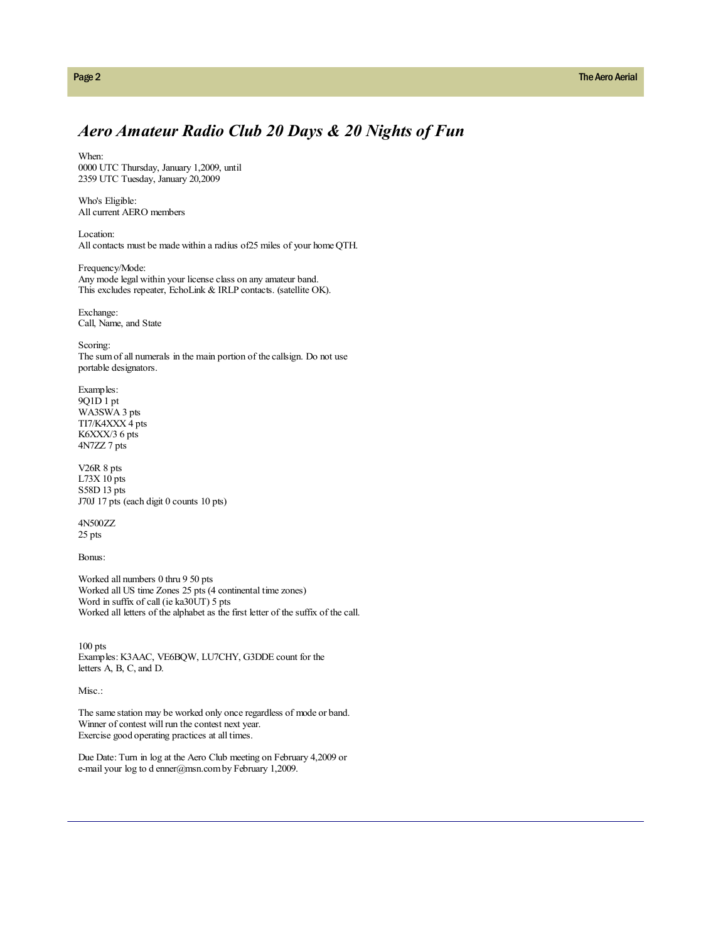### *Aero Amateur Radio Club 20 Days & 20 Nights of Fun*

When: 0000 UTC Thursday, January 1,2009, until 2359 UTC Tuesday, January 20,2009

Who's Eligible: All current AERO members

Location: All contacts must be made within a radius of25 miles of your home QTH.

Frequency/Mode: Any mode legal within your license class on any amateur band. This excludes repeater, EchoLink & IRLP contacts. (satellite OK).

Exchange: Call, Name, and State

Scoring: The sum of all numerals in the main portion of the callsign. Do not use portable designators.

Examples: 9Q1D 1 pt WA3SWA 3 pts TI7/K4XXX 4 pts K6XXX/3 6 pts 4N7ZZ 7 pts

V26R 8 pts L73X 10 pts S58D 13 pts J70J 17 pts (each digit 0 counts 10 pts)

4N500ZZ 25 pts

Bonus:

Worked all numbers 0 thru 9 50 pts Worked all US time Zones 25 pts (4 continental time zones) Word in suffix of call (ie ka30UT) 5 pts Worked all letters of the alphabet as the first letter of the suffix of the call.

100 pts Examples: K3AAC, VE6BQW, LU7CHY, G3DDE count for the letters A, B, C, and D.

Misc.:

The same station may be worked only once regardless of mode or band. Winner of contest will run the contest next year. Exercise good operating practices at all times.

Due Date: Turn in log at the Aero Club meeting on February 4,2009 or e-mail your log to d enner@msn.com by February 1,2009.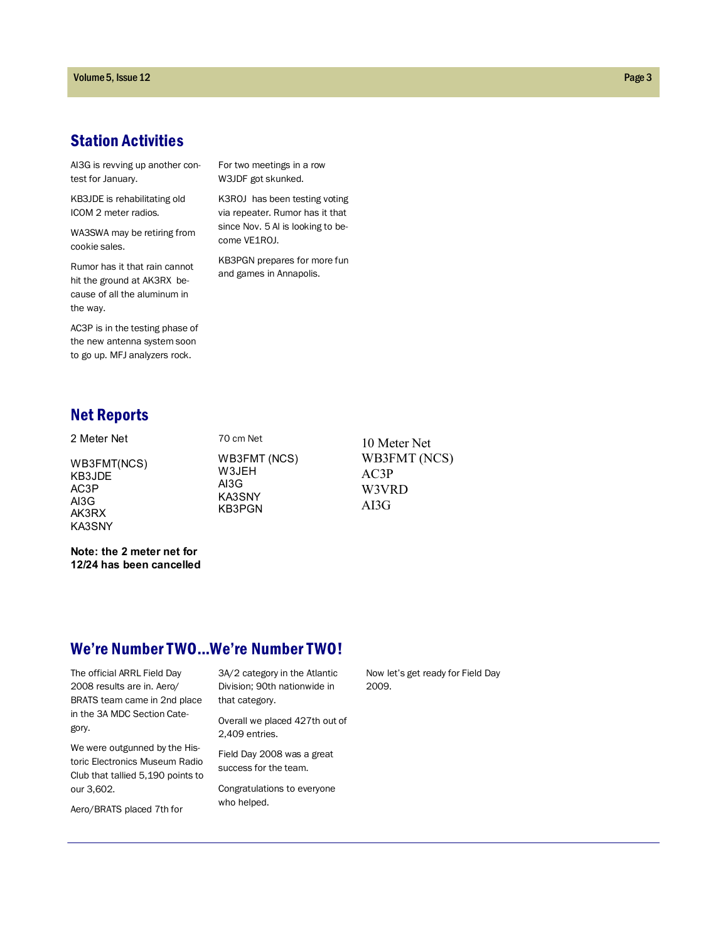## Station Activities

AI3G is revving up another contest for January.

KB3JDE is rehabilitating old ICOM 2 meter radios.

WA3SWA may be retiring from cookie sales.

Rumor has it that rain cannot hit the ground at AK3RX because of all the aluminum in the way.

AC3P is in the testing phase of the new antenna system soon to go up. MFJ analyzers rock.

For two meetings in a row W3JDF got skunked.

K3ROJ has been testing voting via repeater. Rumor has it that since Nov. 5 Al is looking to become VE1ROJ.

KB3PGN prepares for more fun and games in Annapolis.

## Net Reports

2 Meter Net WB3FMT(NCS) KB3JDE AC3P AI3G AK3RX KA3SNY

WB3FMT (NCS) W3JEH AI3G KA3SNY KB3PGN

70 cm Net

10 Meter Net WB3FMT (NCS) AC3P W3VRD AI3G

#### **Note: the 2 meter net for 12/24 has been cancelled**

### We're Number TWO...We're Number TWO!

The official ARRL Field Day 2008 results are in. Aero/ BRATS team came in 2nd place in the 3A MDC Section Category.

We were outgunned by the Historic Electronics Museum Radio Club that tallied 5,190 points to our 3,602.

Aero/BRATS placed 7th for

3A/2 category in the Atlantic Division; 90th nationwide in that category.

Overall we placed 427th out of 2,409 entries.

Field Day 2008 was a great success for the team.

Congratulations to everyone who helped.

Now let's get ready for Field Day 2009.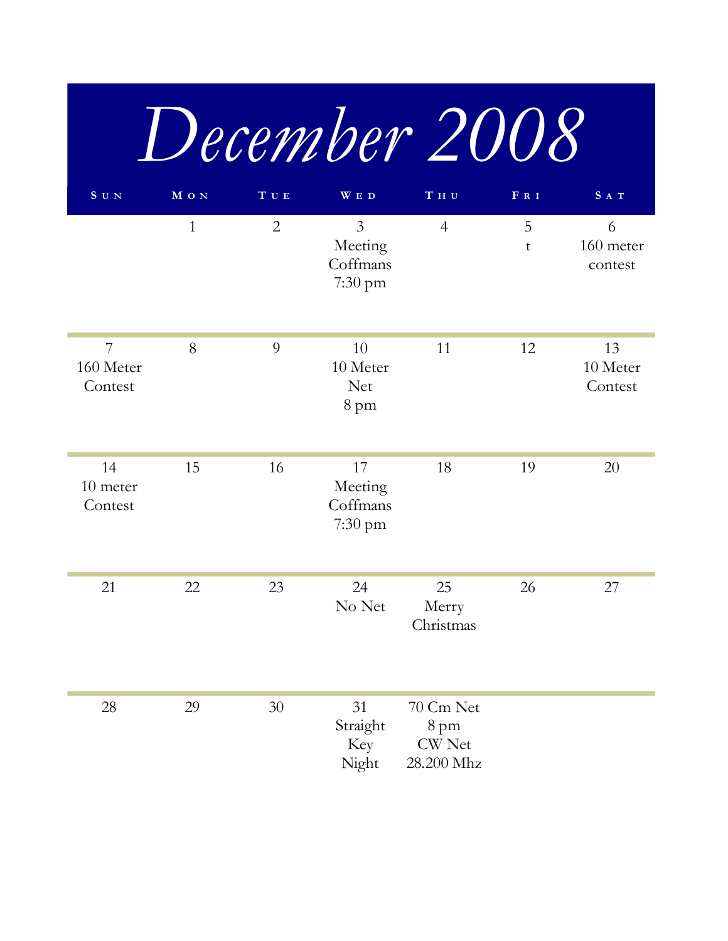|                           |              |                                     |                                                  | December 2008                                    |        |                           |
|---------------------------|--------------|-------------------------------------|--------------------------------------------------|--------------------------------------------------|--------|---------------------------|
| $S$ U N                   | M O N        | $\mathbf T$ $\mathbf U$ $\mathbf E$ | WED                                              | T H U                                            | FRI    | SAT                       |
|                           | $\mathbf{1}$ | $\overline{2}$                      | $\overline{3}$<br>Meeting<br>Coffmans<br>7:30 pm | $\overline{4}$                                   | 5<br>t | 6<br>160 meter<br>contest |
| 7<br>160 Meter<br>Contest | 8            | 9                                   | 10<br>10 Meter<br><b>Net</b><br>8 pm             | 11                                               | 12     | 13<br>10 Meter<br>Contest |
| 14<br>10 meter<br>Contest | 15           | 16                                  | 17<br>Meeting<br>Coffmans<br>7:30 pm             | 18                                               | 19     | 20                        |
| 21                        | 22           | 23                                  | 24<br>No Net                                     | 25<br>Merry<br>Christmas                         | 26     | 27                        |
| 28                        | 29           | 30                                  | 31<br>Straight<br>Key<br>Night                   | 70 Cm Net<br>8 pm<br><b>CW</b> Net<br>28.200 Mhz |        |                           |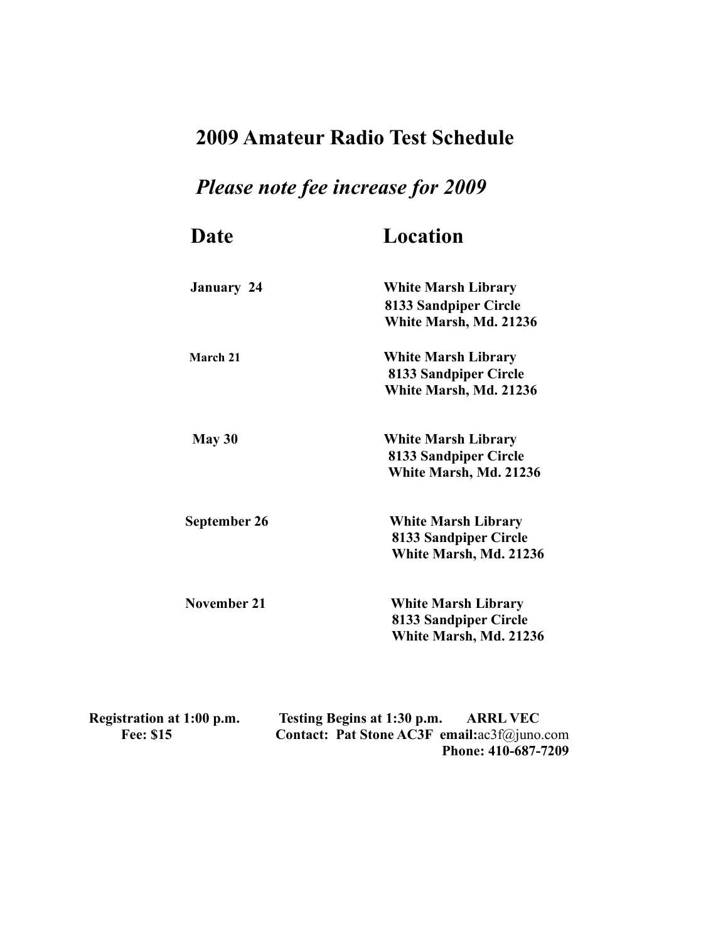## **2009 Amateur Radio Test Schedule**

## *Please note fee increase for 2009*

| Date              | Location                                            |
|-------------------|-----------------------------------------------------|
| <b>January 24</b> | <b>White Marsh Library</b>                          |
|                   | 8133 Sandpiper Circle<br>White Marsh, Md. 21236     |
|                   |                                                     |
| March 21          | <b>White Marsh Library</b><br>8133 Sandpiper Circle |
|                   | White Marsh, Md. 21236                              |
| May 30            | <b>White Marsh Library</b>                          |
|                   | 8133 Sandpiper Circle                               |
|                   | White Marsh, Md. 21236                              |
| September 26      | <b>White Marsh Library</b>                          |
|                   | 8133 Sandpiper Circle                               |
|                   | White Marsh, Md. 21236                              |
| November 21       | <b>White Marsh Library</b>                          |
|                   | 8133 Sandpiper Circle                               |
|                   | White Marsh, Md. 21236                              |

| Registration at 1:00 p.m. | Testing Begins at 1:30 p.m.                                      | <b>ARRL VEC</b>     |
|---------------------------|------------------------------------------------------------------|---------------------|
| <b>Fee: \$15</b>          | <b>Contact: Pat Stone AC3F</b> email: $ac3f(\partial_i)$ uno.com |                     |
|                           |                                                                  | Phone: 410-687-7209 |